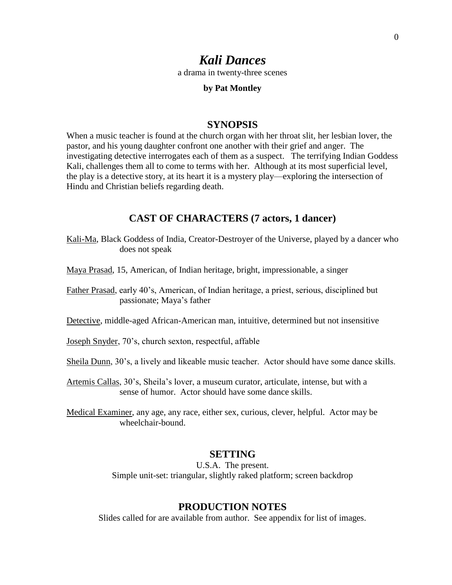# *Kali Dances*

a drama in twenty-three scenes

#### **by Pat Montley**

### **SYNOPSIS**

When a music teacher is found at the church organ with her throat slit, her lesbian lover, the pastor, and his young daughter confront one another with their grief and anger. The investigating detective interrogates each of them as a suspect. The terrifying Indian Goddess Kali, challenges them all to come to terms with her. Although at its most superficial level, the play is a detective story, at its heart it is a mystery play—exploring the intersection of Hindu and Christian beliefs regarding death.

## **CAST OF CHARACTERS (7 actors, 1 dancer)**

- Kali-Ma, Black Goddess of India, Creator-Destroyer of the Universe, played by a dancer who does not speak
- Maya Prasad, 15, American, of Indian heritage, bright, impressionable, a singer
- Father Prasad, early 40's, American, of Indian heritage, a priest, serious, disciplined but passionate; Maya's father
- Detective, middle-aged African-American man, intuitive, determined but not insensitive
- Joseph Snyder, 70's, church sexton, respectful, affable
- Sheila Dunn, 30's, a lively and likeable music teacher. Actor should have some dance skills.
- Artemis Callas, 30's, Sheila's lover, a museum curator, articulate, intense, but with a sense of humor. Actor should have some dance skills.
- Medical Examiner, any age, any race, either sex, curious, clever, helpful. Actor may be wheelchair-bound.

## **SETTING**

U.S.A. The present. Simple unit-set: triangular, slightly raked platform; screen backdrop

# **PRODUCTION NOTES**

Slides called for are available from author. See appendix for list of images.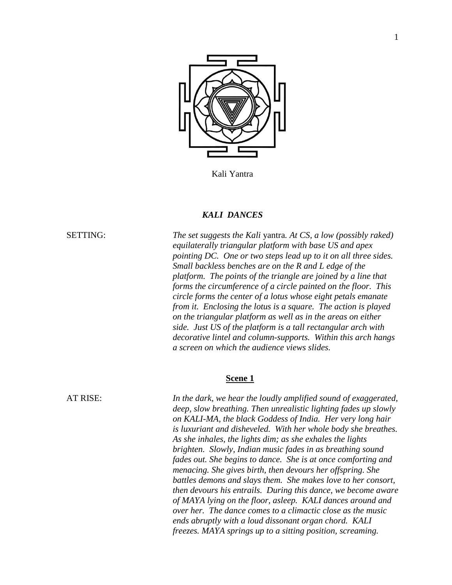

Kali Yantra

### *KALI DANCES*

SETTING: *The set suggests the Kali* yantra*. At CS, a low (possibly raked) equilaterally triangular platform with base US and apex pointing DC. One or two steps lead up to it on all three sides. Small backless benches are on the R and L edge of the platform. The points of the triangle are joined by a line that forms the circumference of a circle painted on the floor. This circle forms the center of a lotus whose eight petals emanate from it. Enclosing the lotus is a square. The action is played on the triangular platform as well as in the areas on either side. Just US of the platform is a tall rectangular arch with decorative lintel and column-supports. Within this arch hangs a screen on which the audience views slides.*

#### **Scene 1**

AT RISE: *In the dark, we hear the loudly amplified sound of exaggerated, deep, slow breathing. Then unrealistic lighting fades up slowly on KALI-MA, the black Goddess of India. Her very long hair is luxuriant and disheveled. With her whole body she breathes. As she inhales, the lights dim; as she exhales the lights brighten. Slowly, Indian music fades in as breathing sound fades out. She begins to dance. She is at once comforting and menacing. She gives birth, then devours her offspring. She battles demons and slays them. She makes love to her consort, then devours his entrails. During this dance, we become aware of MAYA lying on the floor, asleep. KALI dances around and over her. The dance comes to a climactic close as the music ends abruptly with a loud dissonant organ chord. KALI freezes. MAYA springs up to a sitting position, screaming.*